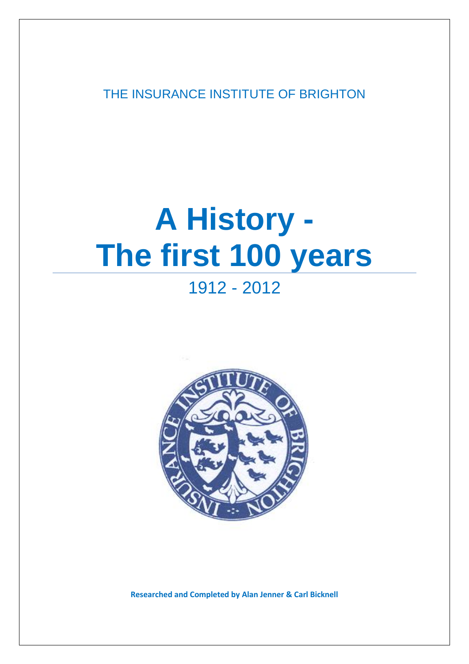THE INSURANCE INSTITUTE OF BRIGHTON

# **A History - The first 100 years**

# 1912 - 2012



**Researched and Completed by Alan Jenner & Carl Bicknell**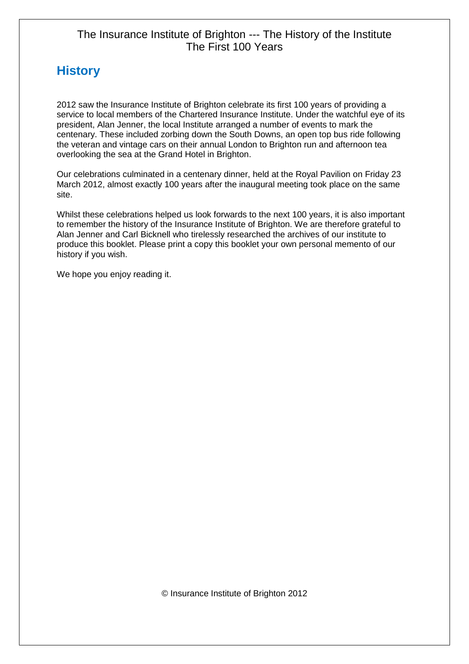# **History**

2012 saw the Insurance Institute of Brighton celebrate its first 100 years of providing a service to local members of the Chartered Insurance Institute. Under the watchful eye of its president, Alan Jenner, the local Institute arranged a number of events to mark the centenary. These included zorbing down the South Downs, an open top bus ride following the veteran and vintage cars on their annual London to Brighton run and afternoon tea overlooking the sea at the Grand Hotel in Brighton.

Our celebrations culminated in a centenary dinner, held at the Royal Pavilion on Friday 23 March 2012, almost exactly 100 years after the inaugural meeting took place on the same site.

Whilst these celebrations helped us look forwards to the next 100 years, it is also important to remember the history of the Insurance Institute of Brighton. We are therefore grateful to Alan Jenner and Carl Bicknell who tirelessly researched the archives of our institute to produce this booklet. Please print a copy this booklet your own personal memento of our history if you wish.

We hope you enjoy reading it.

© Insurance Institute of Brighton 2012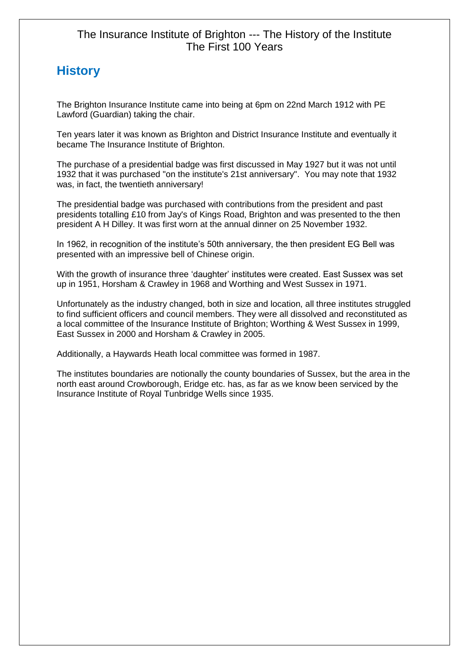# **History**

The Brighton Insurance Institute came into being at 6pm on 22nd March 1912 with PE Lawford (Guardian) taking the chair.

Ten years later it was known as Brighton and District Insurance Institute and eventually it became The Insurance Institute of Brighton.

The purchase of a presidential badge was first discussed in May 1927 but it was not until 1932 that it was purchased "on the institute's 21st anniversary". You may note that 1932 was, in fact, the twentieth anniversary!

The presidential badge was purchased with contributions from the president and past presidents totalling £10 from Jay's of Kings Road, Brighton and was presented to the then president A H Dilley. It was first worn at the annual dinner on 25 November 1932.

In 1962, in recognition of the institute's 50th anniversary, the then president EG Bell was presented with an impressive bell of Chinese origin.

With the growth of insurance three 'daughter' institutes were created. East Sussex was set up in 1951, Horsham & Crawley in 1968 and Worthing and West Sussex in 1971.

Unfortunately as the industry changed, both in size and location, all three institutes struggled to find sufficient officers and council members. They were all dissolved and reconstituted as a local committee of the Insurance Institute of Brighton; Worthing & West Sussex in 1999, East Sussex in 2000 and Horsham & Crawley in 2005.

Additionally, a Haywards Heath local committee was formed in 1987.

The institutes boundaries are notionally the county boundaries of Sussex, but the area in the north east around Crowborough, Eridge etc. has, as far as we know been serviced by the Insurance Institute of Royal Tunbridge Wells since 1935.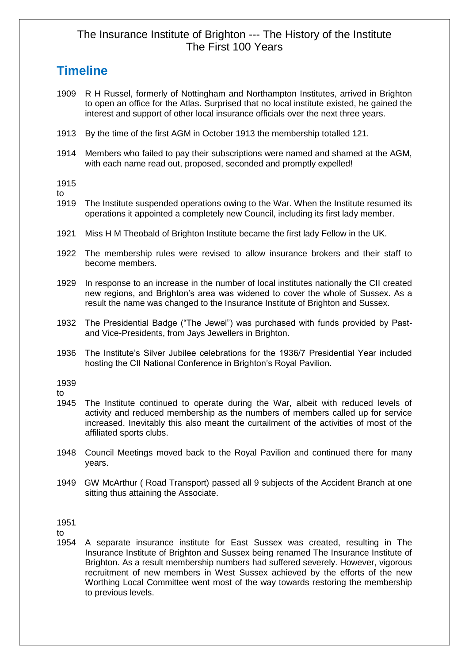# **Timeline**

- 1909 R H Russel, formerly of Nottingham and Northampton Institutes, arrived in Brighton to open an office for the Atlas. Surprised that no local institute existed, he gained the interest and support of other local insurance officials over the next three years.
- 1913 By the time of the first AGM in October 1913 the membership totalled 121.
- 1914 Members who failed to pay their subscriptions were named and shamed at the AGM, with each name read out, proposed, seconded and promptly expelled!

1915

 $t_0$ 

- 1919 The Institute suspended operations owing to the War. When the Institute resumed its operations it appointed a completely new Council, including its first lady member.
- 1921 Miss H M Theobald of Brighton Institute became the first lady Fellow in the UK.
- 1922 The membership rules were revised to allow insurance brokers and their staff to become members.
- 1929 In response to an increase in the number of local institutes nationally the CII created new regions, and Brighton's area was widened to cover the whole of Sussex. As a result the name was changed to the Insurance Institute of Brighton and Sussex.
- 1932 The Presidential Badge ("The Jewel") was purchased with funds provided by Pastand Vice-Presidents, from Jays Jewellers in Brighton.
- 1936 The Institute's Silver Jubilee celebrations for the 1936/7 Presidential Year included hosting the CII National Conference in Brighton's Royal Pavilion.

1939

to

- 1945 The Institute continued to operate during the War, albeit with reduced levels of activity and reduced membership as the numbers of members called up for service increased. Inevitably this also meant the curtailment of the activities of most of the affiliated sports clubs.
- 1948 Council Meetings moved back to the Royal Pavilion and continued there for many years.
- 1949 GW McArthur ( Road Transport) passed all 9 subjects of the Accident Branch at one sitting thus attaining the Associate.

1951

to

1954 A separate insurance institute for East Sussex was created, resulting in The Insurance Institute of Brighton and Sussex being renamed The Insurance Institute of Brighton. As a result membership numbers had suffered severely. However, vigorous recruitment of new members in West Sussex achieved by the efforts of the new Worthing Local Committee went most of the way towards restoring the membership to previous levels.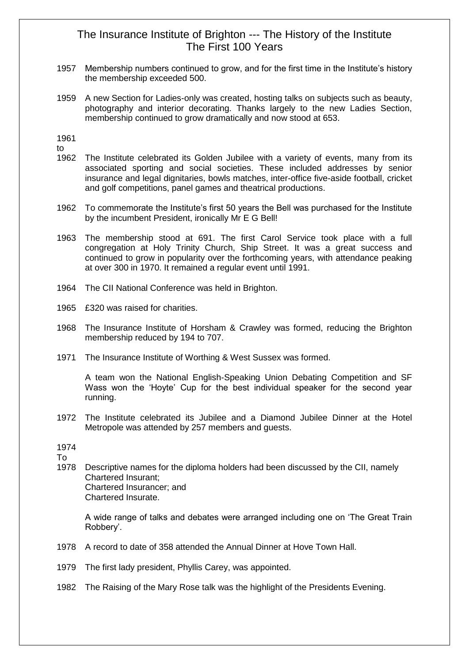- 1957 Membership numbers continued to grow, and for the first time in the Institute's history the membership exceeded 500.
- 1959 A new Section for Ladies-only was created, hosting talks on subjects such as beauty, photography and interior decorating. Thanks largely to the new Ladies Section, membership continued to grow dramatically and now stood at 653.

1961 to

- 1962 The Institute celebrated its Golden Jubilee with a variety of events, many from its associated sporting and social societies. These included addresses by senior insurance and legal dignitaries, bowls matches, inter-office five-aside football, cricket and golf competitions, panel games and theatrical productions.
- 1962 To commemorate the Institute's first 50 years the Bell was purchased for the Institute by the incumbent President, ironically Mr E G Bell!
- 1963 The membership stood at 691. The first Carol Service took place with a full congregation at Holy Trinity Church, Ship Street. It was a great success and continued to grow in popularity over the forthcoming years, with attendance peaking at over 300 in 1970. It remained a regular event until 1991.
- 1964 The CII National Conference was held in Brighton.
- 1965 £320 was raised for charities.
- 1968 The Insurance Institute of Horsham & Crawley was formed, reducing the Brighton membership reduced by 194 to 707.
- 1971 The Insurance Institute of Worthing & West Sussex was formed.

A team won the National English-Speaking Union Debating Competition and SF Wass won the 'Hoyte' Cup for the best individual speaker for the second year running.

1972 The Institute celebrated its Jubilee and a Diamond Jubilee Dinner at the Hotel Metropole was attended by 257 members and guests.

1974

To

1978 Descriptive names for the diploma holders had been discussed by the CII, namely Chartered Insurant; Chartered Insurancer; and Chartered Insurate.

A wide range of talks and debates were arranged including one on 'The Great Train Robbery'.

- 1978 A record to date of 358 attended the Annual Dinner at Hove Town Hall.
- 1979 The first lady president, Phyllis Carey, was appointed.
- 1982 The Raising of the Mary Rose talk was the highlight of the Presidents Evening.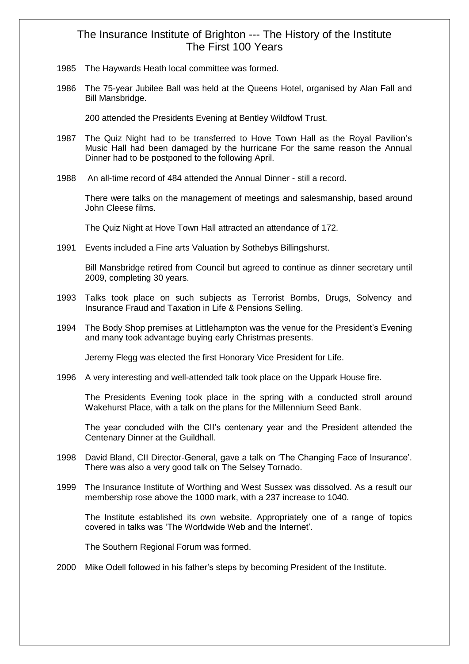- 1985 The Haywards Heath local committee was formed.
- 1986 The 75-year Jubilee Ball was held at the Queens Hotel, organised by Alan Fall and Bill Mansbridge.

200 attended the Presidents Evening at Bentley Wildfowl Trust.

- 1987 The Quiz Night had to be transferred to Hove Town Hall as the Royal Pavilion's Music Hall had been damaged by the hurricane For the same reason the Annual Dinner had to be postponed to the following April.
- 1988 An all-time record of 484 attended the Annual Dinner still a record.

There were talks on the management of meetings and salesmanship, based around John Cleese films.

The Quiz Night at Hove Town Hall attracted an attendance of 172.

1991 Events included a Fine arts Valuation by Sothebys Billingshurst.

Bill Mansbridge retired from Council but agreed to continue as dinner secretary until 2009, completing 30 years.

- 1993 Talks took place on such subjects as Terrorist Bombs, Drugs, Solvency and Insurance Fraud and Taxation in Life & Pensions Selling.
- 1994 The Body Shop premises at Littlehampton was the venue for the President's Evening and many took advantage buying early Christmas presents.

Jeremy Flegg was elected the first Honorary Vice President for Life.

1996 A very interesting and well-attended talk took place on the Uppark House fire.

The Presidents Evening took place in the spring with a conducted stroll around Wakehurst Place, with a talk on the plans for the Millennium Seed Bank.

The year concluded with the CII's centenary year and the President attended the Centenary Dinner at the Guildhall.

- 1998 David Bland, CII Director-General, gave a talk on 'The Changing Face of Insurance'. There was also a very good talk on The Selsey Tornado.
- 1999 The Insurance Institute of Worthing and West Sussex was dissolved. As a result our membership rose above the 1000 mark, with a 237 increase to 1040.

The Institute established its own website. Appropriately one of a range of topics covered in talks was 'The Worldwide Web and the Internet'.

The Southern Regional Forum was formed.

2000 Mike Odell followed in his father's steps by becoming President of the Institute.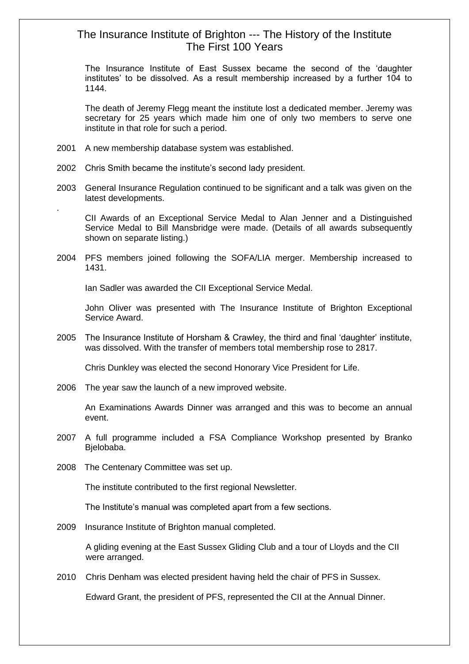The Insurance Institute of East Sussex became the second of the 'daughter institutes' to be dissolved. As a result membership increased by a further 104 to 1144.

The death of Jeremy Flegg meant the institute lost a dedicated member. Jeremy was secretary for 25 years which made him one of only two members to serve one institute in that role for such a period.

2001 A new membership database system was established.

.

- 2002 Chris Smith became the institute's second lady president.
- 2003 General Insurance Regulation continued to be significant and a talk was given on the latest developments.

CII Awards of an Exceptional Service Medal to Alan Jenner and a Distinguished Service Medal to Bill Mansbridge were made. (Details of all awards subsequently shown on separate listing.)

2004 PFS members joined following the SOFA/LIA merger. Membership increased to 1431.

Ian Sadler was awarded the CII Exceptional Service Medal.

John Oliver was presented with The Insurance Institute of Brighton Exceptional Service Award.

2005 The Insurance Institute of Horsham & Crawley, the third and final 'daughter' institute, was dissolved. With the transfer of members total membership rose to 2817.

Chris Dunkley was elected the second Honorary Vice President for Life.

2006 The year saw the launch of a new improved website.

An Examinations Awards Dinner was arranged and this was to become an annual event.

- 2007 A full programme included a FSA Compliance Workshop presented by Branko Bjelobaba.
- 2008 The Centenary Committee was set up.

The institute contributed to the first regional Newsletter.

The Institute's manual was completed apart from a few sections.

2009 Insurance Institute of Brighton manual completed.

 A gliding evening at the East Sussex Gliding Club and a tour of Lloyds and the CII were arranged.

2010 Chris Denham was elected president having held the chair of PFS in Sussex.

Edward Grant, the president of PFS, represented the CII at the Annual Dinner.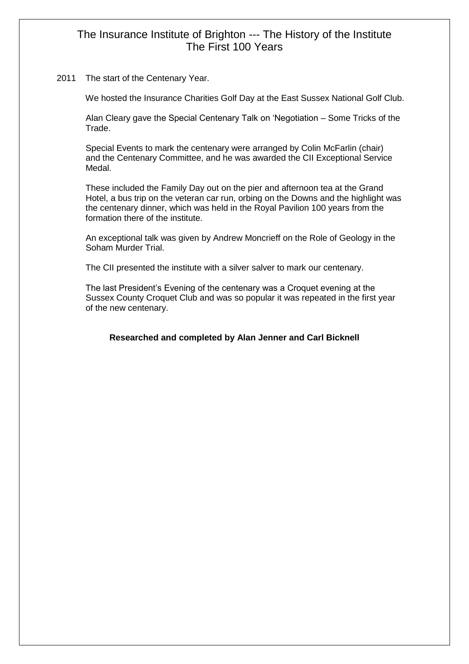2011 The start of the Centenary Year.

We hosted the Insurance Charities Golf Day at the East Sussex National Golf Club.

 Alan Cleary gave the Special Centenary Talk on 'Negotiation – Some Tricks of the Trade.

 Special Events to mark the centenary were arranged by Colin McFarlin (chair) and the Centenary Committee, and he was awarded the CII Exceptional Service Medal.

 These included the Family Day out on the pier and afternoon tea at the Grand Hotel, a bus trip on the veteran car run, orbing on the Downs and the highlight was the centenary dinner, which was held in the Royal Pavilion 100 years from the formation there of the institute.

 An exceptional talk was given by Andrew Moncrieff on the Role of Geology in the Soham Murder Trial.

The CII presented the institute with a silver salver to mark our centenary.

 The last President's Evening of the centenary was a Croquet evening at the Sussex County Croquet Club and was so popular it was repeated in the first year of the new centenary.

#### **Researched and completed by Alan Jenner and Carl Bicknell**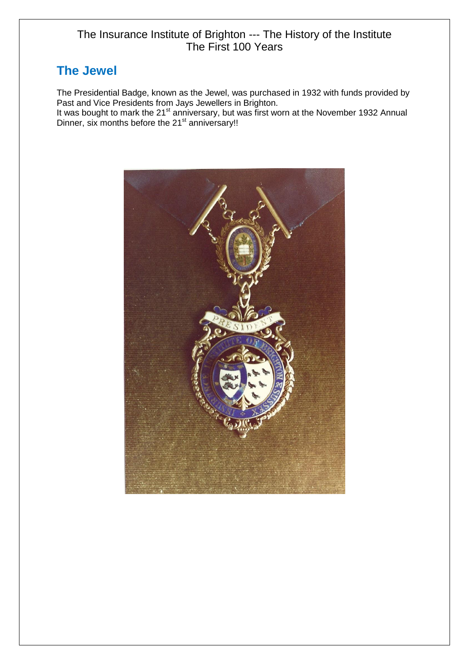# **The Jewel**

The Presidential Badge, known as the Jewel, was purchased in 1932 with funds provided by Past and Vice Presidents from Jays Jewellers in Brighton.

It was bought to mark the 21<sup>st</sup> anniversary, but was first worn at the November 1932 Annual Dinner, six months before the 21<sup>st</sup> anniversary!!

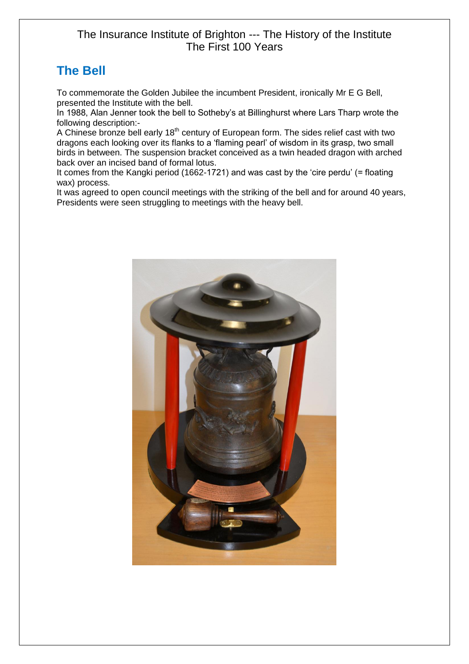# **The Bell**

To commemorate the Golden Jubilee the incumbent President, ironically Mr E G Bell, presented the Institute with the bell.

In 1988, Alan Jenner took the bell to Sotheby's at Billinghurst where Lars Tharp wrote the following description:-

A Chinese bronze bell early 18<sup>th</sup> century of European form. The sides relief cast with two dragons each looking over its flanks to a 'flaming pearl' of wisdom in its grasp, two small birds in between. The suspension bracket conceived as a twin headed dragon with arched back over an incised band of formal lotus.

It comes from the Kangki period (1662-1721) and was cast by the 'cire perdu' (= floating wax) process.

It was agreed to open council meetings with the striking of the bell and for around 40 years, Presidents were seen struggling to meetings with the heavy bell.

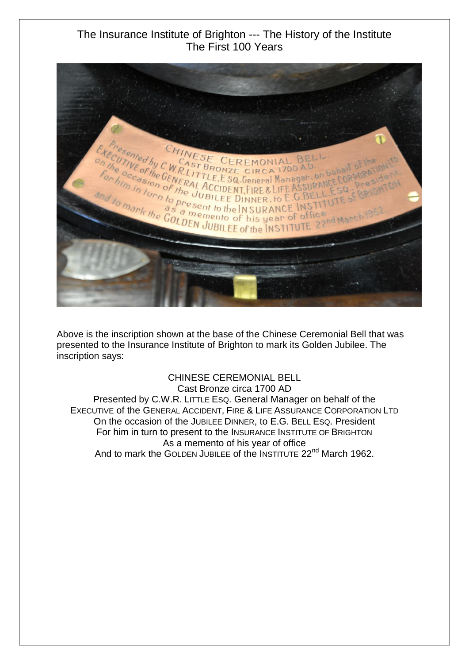

Above is the inscription shown at the base of the Chinese Ceremonial Bell that was presented to the Insurance Institute of Brighton to mark its Golden Jubilee. The inscription says:

CHINESE CEREMONIAL BELL Cast Bronze circa 1700 AD Presented by C.W.R. LITTLE ESQ. General Manager on behalf of the EXECUTIVE of the GENERAL ACCIDENT, FIRE & LIFE ASSURANCE CORPORATION LTD On the occasion of the JUBILEE DINNER, to E.G. BELL ESQ. President For him in turn to present to the INSURANCE INSTITUTE OF BRIGHTON As a memento of his year of office And to mark the GOLDEN JUBILEE of the INSTITUTE 22<sup>nd</sup> March 1962.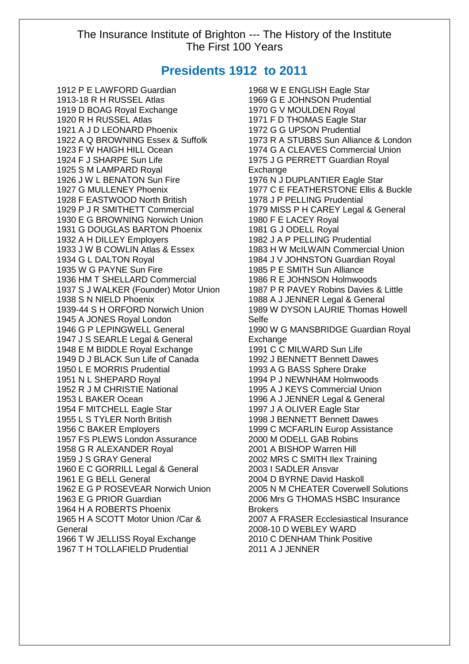## **Presidents 1912 to 2011**

1912 P E LAWFORD Guardian 1913-18 R H RUSSEL Atlas 1919 D BOAG Royal Exchange 1920 R H RUSSEL Atlas 1921 A J D LEONARD Phoenix 1922 A Q BROWNING Essex & Suffolk 1923 F W HAIGH HILL Ocean 1924 F J SHARPE Sun Life 1925 S M LAMPARD Royal 1926 J W L BENATON Sun Fire 1927 G MULLENEY Phoenix 1928 F EASTWOOD North British 1929 P J R SMITHETT Commercial 1930 E G BROWNING Norwich Union 1931 G DOUGLAS BARTON Phoenix 1932 A H DILLEY Employers 1933 J W B COWLIN Atlas & Essex 1934 G L DALTON Royal 1935 W G PAYNE Sun Fire 1936 HM T SHELLARD Commercial 1937 S J WALKER (Founder) Motor Union 1938 S N NIELD Phoenix 1939-44 S H ORFORD Norwich Union 1945 A JONES Royal London 1946 G P LEPINGWELL General 1947 J S SEARLE Legal & General 1948 E M BIDDLE Royal Exchange 1949 D J BLACK Sun Life of Canada 1950 L E MORRIS Prudential 1951 N L SHEPARD Royal 1952 R J M CHRISTIE National 1953 L BAKER Ocean 1954 F MITCHELL Eagle Star 1955 L S TYLER North British 1956 C BAKER Employers 1957 FS PLEWS London Assurance 1958 G R ALEXANDER Royal 1959 J S GRAY General 1960 E C GORRILL Legal & General 1961 E G BELL General 1962 E G P ROSEVEAR Norwich Union 1963 E G PRIOR Guardian 1964 H A ROBERTS Phoenix 1965 H A SCOTT Motor Union /Car & **General** 1966 T W JELLISS Royal Exchange

1967 T H TOLLAFIELD Prudential

1968 W E ENGLISH Eagle Star 1969 G E JOHNSON Prudential 1970 G V MOULDEN Royal 1971 F D THOMAS Eagle Star 1972 G G UPSON Prudential 1973 R A STUBBS Sun Alliance & London 1974 G A CLEAVES Commercial Union 1975 J G PERRETT Guardian Royal **Exchange** 1976 N J DUPLANTIER Eagle Star 1977 C E FEATHERSTONE Ellis & Buckle 1978 J P PELLING Prudential 1979 MISS P H CAREY Legal & General 1980 F E LACEY Royal 1981 G J ODELL Royal 1982 J A P PELLING Prudential 1983 H W McILWAIN Commercial Union 1984 J V JOHNSTON Guardian Royal 1985 P E SMITH Sun Alliance 1986 R E JOHNSON Holmwoods 1987 P R PAVEY Robins Davies & Little 1988 A J JENNER Legal & General 1989 W DYSON LAURIE Thomas Howell Selfe 1990 W G MANSBRIDGE Guardian Royal Exchange 1991 C C MILWARD Sun Life 1992 J BENNETT Bennett Dawes 1993 A G BASS Sphere Drake 1994 P J NEWNHAM Holmwoods 1995 A J KEYS Commercial Union 1996 A J JENNER Legal & General 1997 J A OLIVER Eagle Star 1998 J BENNETT Bennett Dawes 1999 C MCFARLIN Europ Assistance 2000 M ODELL GAB Robins 2001 A BISHOP Warren Hill 2002 MRS C SMITH Ilex Training 2003 I SADLER Ansvar 2004 D BYRNE David Haskoll 2005 N M CHEATER Coverwell Solutions 2006 Mrs G THOMAS HSBC Insurance **Brokers** 2007 A FRASER Ecclesiastical Insurance 2008-10 D WEBLEY WARD 2010 C DENHAM Think Positive 2011 A J JENNER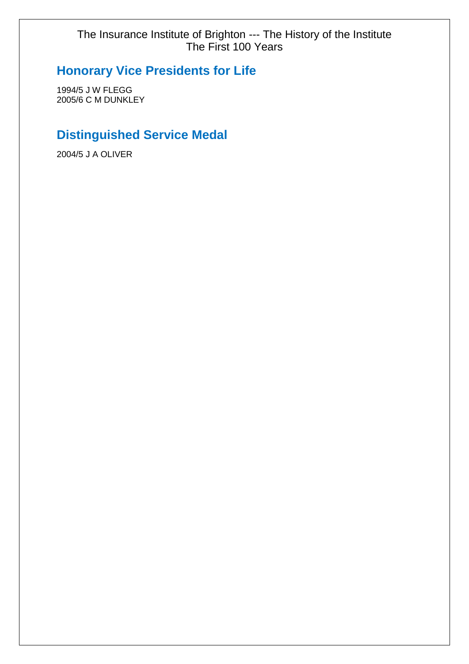# **Honorary Vice Presidents for Life**

1994/5 J W FLEGG 2005/6 C M DUNKLEY

# **Distinguished Service Medal**

2004/5 J A OLIVER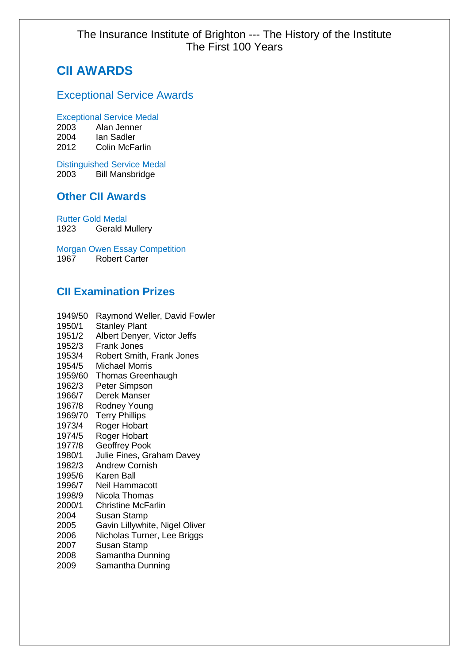# **CII AWARDS**

## Exceptional Service Awards

#### Exceptional Service Medal

| 2003 | Alan Jenner           |
|------|-----------------------|
| 2004 | lan Sadler            |
| 2012 | <b>Colin McFarlin</b> |

Distinguished Service Medal 2003 Bill Mansbridge

### **Other CII Awards**

Rutter Gold Medal 1923 Gerald Mullery

Morgan Owen Essay Competition 1967 Robert Carter

## **CII Examination Prizes**

1949/50 Raymond Weller, David Fowler 1950/1 Stanley Plant 1951/2 Albert Denyer, Victor Jeffs 1952/3 Frank Jones 1953/4 Robert Smith, Frank Jones 1954/5 Michael Morris 1959/60 Thomas Greenhaugh 1962/3 Peter Simpson 1966/7 Derek Manser 1967/8 Rodney Young 1969/70 Terry Phillips 1973/4 Roger Hobart 1974/5 Roger Hobart 1977/8 Geoffrey Pook 1980/1 Julie Fines, Graham Davey 1982/3 Andrew Cornish 1995/6 Karen Ball 1996/7 Neil Hammacott 1998/9 Nicola Thomas 2000/1 Christine McFarlin 2004 Susan Stamp 2005 Gavin Lillywhite, Nigel Oliver 2006 Nicholas Turner, Lee Briggs 2007 Susan Stamp 2008 Samantha Dunning 2009 Samantha Dunning